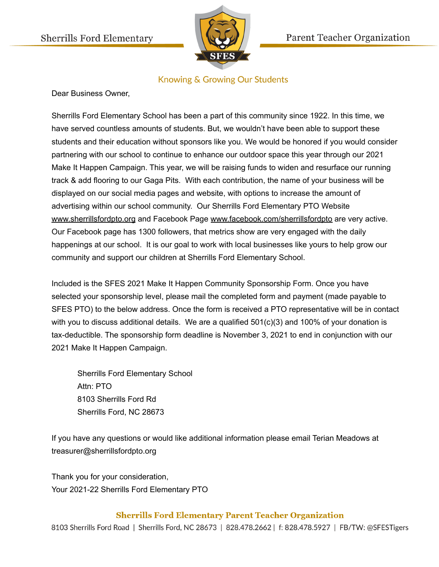

## **Knowing & Growing Our Students**

Dear Business Owner,

Sherrills Ford Elementary School has been a part of this community since 1922. In this time, we have served countless amounts of students. But, we wouldn't have been able to support these students and their education without sponsors like you. We would be honored if you would consider partnering with our school to continue to enhance our outdoor space this year through our 2021 Make It Happen Campaign. This year, we will be raising funds to widen and resurface our running track & add flooring to our Gaga Pits. With each contribution, the name of your business will be displayed on our social media pages and website, with options to increase the amount of advertising within our school community. Our Sherrills Ford Elementary PTO Website [www.sherrillsfordpto.org](http://www.sherrillsfordpto.org/) and Facebook Page [www.facebook.com/sherrillsfordpto](http://www.facebook.com/sherrillsfordpto) are very active. Our Facebook page has 1300 followers, that metrics show are very engaged with the daily happenings at our school. It is our goal to work with local businesses like yours to help grow our community and support our children at Sherrills Ford Elementary School.

Included is the SFES 2021 Make It Happen Community Sponsorship Form. Once you have selected your sponsorship level, please mail the completed form and payment (made payable to SFES PTO) to the below address. Once the form is received a PTO representative will be in contact with you to discuss additional details. We are a qualified 501(c)(3) and 100% of your donation is tax-deductible. The sponsorship form deadline is November 3, 2021 to end in conjunction with our 2021 Make It Happen Campaign.

Sherrills Ford Elementary School Attn: PTO 8103 Sherrills Ford Rd Sherrills Ford, NC 28673

If you have any questions or would like additional information please email Terian Meadows at treasurer@sherrillsfordpto.org

Thank you for your consideration, Your 2021-22 Sherrills Ford Elementary PTO

### **Sherrills Ford Elementary Parent Teacher Organization**

8103 Sherrills Ford Road | Sherrills Ford, NC 28673 | 828.478.2662 | f: 828.478.5927 | FB/TW: @SFESTigers